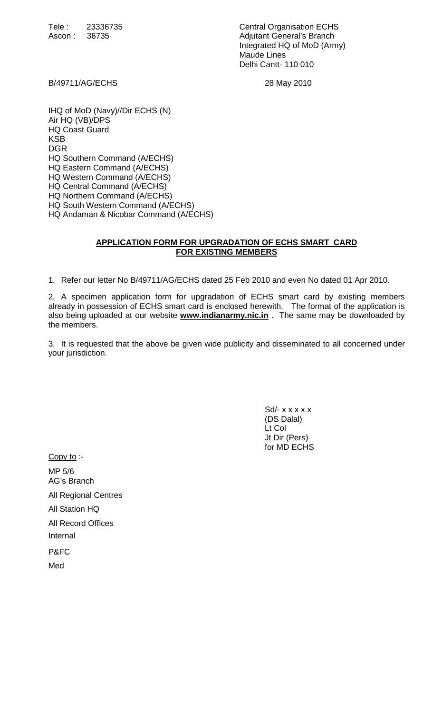Tele : 23336735 Central Organisation ECHS Ascon : 36735 Adjutant General's Branch Integrated HQ of MoD (Army) Maude Lines Delhi Cantt- 110 010

B/49711/AG/ECHS 28 May 2010

IHQ of MoD (Navy)//Dir ECHS (N) Air HQ (VB)/DPS HQ Coast Guard KSB DGR HQ Southern Command (A/ECHS) HQ Eastern Command (A/ECHS) HQ Western Command (A/ECHS) HQ Central Command (A/ECHS) HQ Northern Command (A/ECHS) HQ South Western Command (A/ECHS) HQ Andaman & Nicobar Command (A/ECHS)

## **APPLICATION FORM FOR UPGRADATION OF ECHS SMART CARD FOR EXISTING MEMBERS**

1. Refer our letter No B/49711/AG/ECHS dated 25 Feb 2010 and even No dated 01 Apr 2010.

2. A specimen application form for upgradation of ECHS smart card by existing members already in possession of ECHS smart card is enclosed herewith. The format of the application is also being uploaded at our website **www.indianarmy.nic.in** . The same may be downloaded by the members.

3. It is requested that the above be given wide publicity and disseminated to all concerned under your jurisdiction.

 $Sd$ - x x x x x (DS Dalal) Lt Col Jt Dir (Pers) for MD ECHS

Copy to :- MP 5/6 AG's Branch All Regional Centres All Station HQ All Record Offices **Internal** P&FC Med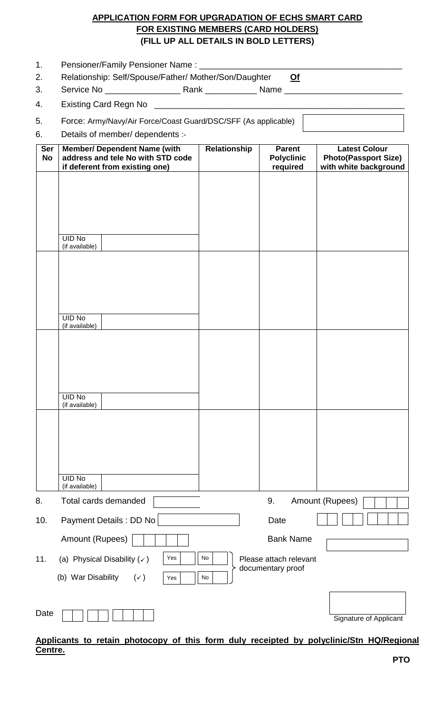## **APPLICATION FORM FOR UPGRADATION OF ECHS SMART CARD FOR EXISTING MEMBERS (CARD HOLDERS) (FILL UP ALL DETAILS IN BOLD LETTERS)**

| Relationship: Self/Spouse/Father/ Mother/Son/Daughter<br>Of                  |                                                                |              |                                   |                                                                       |                  |  |  |
|------------------------------------------------------------------------------|----------------------------------------------------------------|--------------|-----------------------------------|-----------------------------------------------------------------------|------------------|--|--|
|                                                                              |                                                                |              |                                   |                                                                       | 3.               |  |  |
|                                                                              |                                                                |              |                                   |                                                                       | 4.               |  |  |
|                                                                              | Force: Army/Navy/Air Force/Coast Guard/DSC/SFF (As applicable) |              |                                   |                                                                       |                  |  |  |
|                                                                              | Details of member/ dependents :-                               |              |                                   |                                                                       |                  |  |  |
| <b>Latest Colour</b><br><b>Photo(Passport Size)</b><br>with white background | <b>Parent</b><br><b>Polyclinic</b><br>required                 | Relationship | address and tele No with STD code | <b>Member/ Dependent Name (with</b><br>if deferent from existing one) | Ser<br><b>No</b> |  |  |
|                                                                              |                                                                |              |                                   |                                                                       |                  |  |  |
|                                                                              |                                                                |              |                                   | <b>UID No</b><br>(if available)                                       |                  |  |  |
|                                                                              |                                                                |              |                                   |                                                                       |                  |  |  |
|                                                                              |                                                                |              |                                   |                                                                       |                  |  |  |
|                                                                              |                                                                |              |                                   |                                                                       |                  |  |  |
|                                                                              |                                                                |              |                                   |                                                                       |                  |  |  |

| <b>UID No</b><br>(if available)                                                                     |    |                        |                               |  |  |  |  |
|-----------------------------------------------------------------------------------------------------|----|------------------------|-------------------------------|--|--|--|--|
|                                                                                                     |    |                        |                               |  |  |  |  |
|                                                                                                     |    |                        |                               |  |  |  |  |
|                                                                                                     |    |                        |                               |  |  |  |  |
|                                                                                                     |    |                        |                               |  |  |  |  |
| <b>UID No</b><br>(if available)                                                                     |    |                        |                               |  |  |  |  |
|                                                                                                     |    |                        |                               |  |  |  |  |
|                                                                                                     |    |                        |                               |  |  |  |  |
|                                                                                                     |    |                        |                               |  |  |  |  |
| <b>UID No</b>                                                                                       |    |                        |                               |  |  |  |  |
| (if available)                                                                                      |    |                        |                               |  |  |  |  |
| 8.<br>Total cards demanded                                                                          |    | 9.                     | Amount (Rupees)               |  |  |  |  |
| Payment Details : DD No<br>10.                                                                      |    | Date                   |                               |  |  |  |  |
| Amount (Rupees)                                                                                     |    | <b>Bank Name</b>       |                               |  |  |  |  |
| Yes<br>(a) Physical Disability $(\checkmark)$<br>11.                                                | No | Please attach relevant |                               |  |  |  |  |
| (b) War Disability<br>$(\checkmark)$<br>Yes                                                         | No | documentary proof      |                               |  |  |  |  |
|                                                                                                     |    |                        |                               |  |  |  |  |
| Date                                                                                                |    |                        | <b>Signature of Applicant</b> |  |  |  |  |
| Applicants to retain photocopy of this form duly receipted by polyclinic/Stn HQ/Regional<br>Centre. |    |                        |                               |  |  |  |  |

## **PTO**